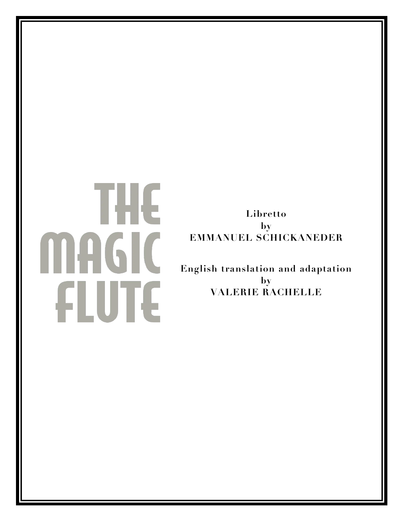# THE **MAGIC** FLUTE

**Libretto by EMMANUEL SCHICKANEDER**

**English translation and adaptation by VALERIE RACHELLE**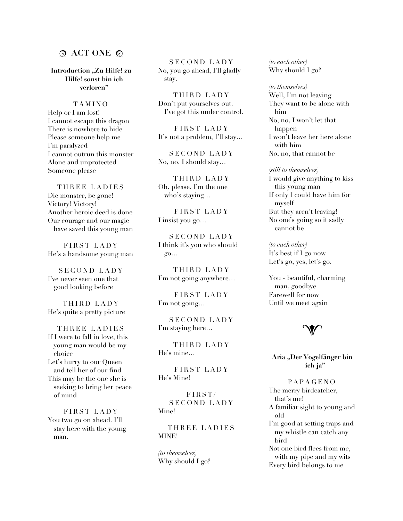# **ACT ONE**

**Introduction "Zu Hilfe! zu Hilfe! sonst bin ich verloren"**

TAMINO Help or I am lost! I cannot escape this dragon There is nowhere to hide Please someone help me I'm paralyzed I cannot outrun this monster Alone and unprotected Someone please

THREE LADIES Die monster, be gone! Victory! Victory! Another heroic deed is done Our courage and our magic have saved this young man

FIRST LADY He's a handsome young man

SECOND LADY I've never seen one that good looking before

THIRD LADY He's quite a pretty picture

THREE LADIES If I were to fall in love, this young man would be my choice Let's hurry to our Queen and tell her of our find This may be the one she is seeking to bring her peace of mind

FIRST LADY You two go on ahead. I'll stay here with the young man.

SECOND LADY No, you go ahead, I'll gladly stay.

THIRD LADY Don't put yourselves out. I've got this under control.

FIRST LADY It's not a problem, I'll stay…

SECOND LADY No, no, I should stay…

THIRD LADY Oh, please, I'm the one who's staying…

FIRST LADY I insist you go…

SECOND LADY I think it's you who should go…

THIRD LADY I'm not going anywhere…

FIRST LADY I'm not going…

SECOND LADY I'm staying here…

THIRD LADY He's mine…

FIRST LADY He's Mine!

FIRST/ SECOND LADY Mine!

THREE LADIES MINE!

*(to themselves)* Why should I go? *(to each other)* Why should I go?

*(to themselves)* Well, I'm not leaving They want to be alone with him No, no, I won't let that happen I won't leave her here alone with him No, no, that cannot be

#### *(still to themselves)*

I would give anything to kiss this young man If only I could have him for myself But they aren't leaving! No one's going so it sadly cannot be

*(to each other)* It's best if I go now Let's go, yes, let's go.

You - beautiful, charming man, goodbye Farewell for now Until we meet again



**Aria "Der Vogelfänger bin ich ja"**

PAPAGENO The merry birdcatcher, that's me! A familiar sight to young and old I'm good at setting traps and my whistle can catch any bird Not one bird flees from me, with my pipe and my wits Every bird belongs to me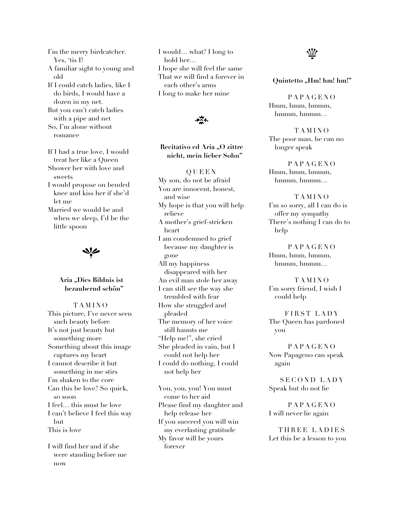I'm the merry birdcatcher. Yes, 'tis I! A familiar sight to young and old If I could catch ladies, like I do birds, I would have a dozen in my net. But you can't catch ladies with a pipe and net So, I'm alone without romance

If I had a true love, I would treat her like a Queen Shower her with love and sweets I would propose on bended knee and kiss her if she'd let me Married we would be and when we sleep, I'd be the little spoon

 $\blacktriangleleft$ 

## **Aria "Dies Bildnis ist bezaubernd schön"**

TAMINO This picture, I've never seen such beauty before It's not just beauty but something more Something about this image captures my heart I cannot describe it but something in me stirs I'm shaken to the core Can this be love? So quick, so soon I feel… this must be love I can't believe I feel this way but This is love

I will find her and if she were standing before me now

I would… what? I long to hold her… I hope she will feel the same That we will find a forever in each other's arms I long to make her mine



# **Recitativo ed Aria "O zittre nicht, mein lieber Sohn"**

QUEEN My son, do not be afraid You are innocent, honest, and wise My hope is that you will help relieve A mother's grief-stricken heart I am condemned to grief because my daughter is gone All my happiness disappeared with her An evil man stole her away I can still see the way she trembled with fear How she struggled and pleaded The memory of her voice still haunts me "Help me!", she cried She pleaded in vain, but I could not help her I could do nothing, I could not help her

You, you, you! You must come to her aid Please find my daughter and help release her If you succeed you will win my everlasting gratitude My favor will be yours forever



**Quintetto** "Hm! hm!"

PAPAGENO Hmm, hmm, hmmm, hmmm, hmmm…

TAMINO The poor man, he can no longer speak

PAPAGENO Hmm, hmm, hmmm, hmmm, hmmm…

TAMINO I'm so sorry, all I can do is offer my sympathy There's nothing I can do to help

PAPAGENO Hmm, hmm, hmmm, hmmm, hmmm…

TAMINO I'm sorry friend, I wish I could help

FIRST LADY The Queen has pardoned you

PAPAGENO Now Papageno can speak again

SECOND LADY Speak but do not lie

PAPAGENO I will never lie again

THREE LADIES Let this be a lesson to you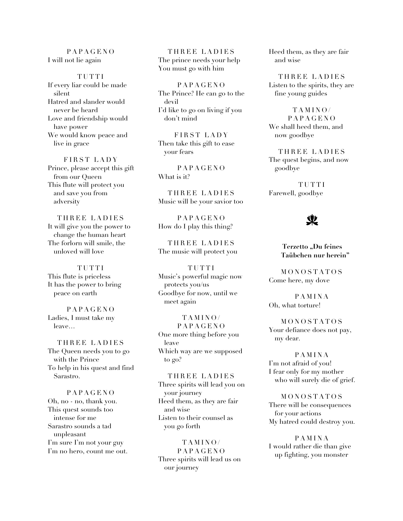#### PAPAGENO I will not lie again

TUTTI If every liar could be made silent Hatred and slander would never be heard Love and friendship would have power We would know peace and live in grace

FIRST LADY Prince, please accept this gift from our Queen This flute will protect you and save you from adversity

THREE LADIES It will give you the power to change the human heart The forlorn will smile, the unloved will love

TUTTI This flute is priceless It has the power to bring peace on earth

PAPAGENO Ladies, I must take my leave…

THREE LADIES The Queen needs you to go with the Prince To help in his quest and find Sarastro.

PAPAGENO Oh, no - no, thank you. This quest sounds too intense for me Sarastro sounds a tad unpleasant I'm sure I'm not your guy I'm no hero, count me out.

THREE LADIES The prince needs your help You must go with him

PAPAGENO The Prince? He can go to the devil I'd like to go on living if you don't mind

FIRST LADY Then take this gift to ease your fears

PAPAGENO What is it?

THREE LADIES Music will be your savior too

**PAPAGENO** How do I play this thing?

THREE LADIES The music will protect you

TUTTI Music's powerful magic now protects you/us Goodbye for now, until we meet again

TAMINO/ PAPAGENO One more thing before you leave Which way are we supposed to go?

THREE LADIES Three spirits will lead you on your journey Heed them, as they are fair and wise Listen to their counsel as you go forth

TAMINO/ **PAPAGENO** Three spirits will lead us on our journey

Heed them, as they are fair and wise

THREE LADIES Listen to the spirits, they are fine young guides

TAMINO/ PAPAGEN O We shall heed them, and now goodbye

THREE LADIES The quest begins, and now goodbye

TUTTI Farewell, goodbye

# y.

Terzetto "Du feines **Taübchen nur herein"**

MONOSTATOS Come here, my dove

PAMINA Oh, what torture!

MONOSTATOS Your defiance does not pay, my dear.

PAMINA I'm not afraid of you! I fear only for my mother who will surely die of grief.

MONOSTATOS There will be consequences for your actions My hatred could destroy you.

PAMINA I would rather die than give up fighting, you monster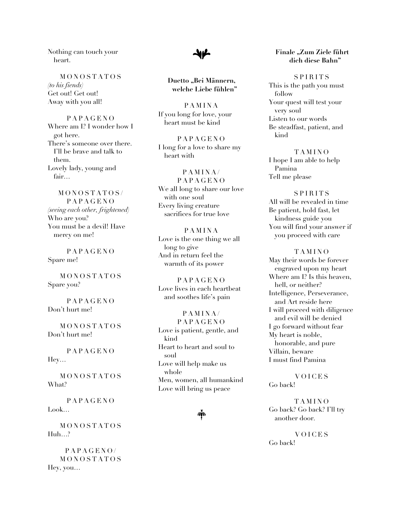Nothing can touch your heart.

MONOSTATOS *(to his fiends)* Get out! Get out! Away with you all!

PAPAGENO Where am I? I wonder how I got here. There's someone over there. I'll be brave and talk to them. Lovely lady, young and fair…

MONOSTATOS/ PAPAGENO *(seeing each other, frightened)* Who are you? You must be a devil! Have mercy on me!

PAPAGENO Spare me!

MONOSTATOS Spare you?

PAPAGENO Don't hurt me!

MONOSTATOS Don't hurt me!

PAPAGENO Hey…

MONOSTATOS What?

PAPAGENO Look…

MONOSTATOS  $Huh...<sup>9</sup>$ 

PAPAGENO/ MONOSTATOS Hey, you…



**Duetto "Bei Männern, welche Liebe fühlen"**

PAMINA If you long for love, your heart must be kind

PAPAGENO I long for a love to share my heart with

PAMINA/ PAPAGENO We all long to share our love with one soul Every living creature sacrifices for true love

PAMINA Love is the one thing we all long to give And in return feel the warmth of its power

PAPAGENO Love lives in each heartbeat and soothes life's pain

PAMINA/ PAPAGENO Love is patient, gentle, and kind Heart to heart and soul to soul Love will help make us whole Men, women, all humankind Love will bring us peace



#### **Finale "Zum Ziele führt dich diese Bahn"**

SPIRITS This is the path you must follow Your quest will test your very soul Listen to our words Be steadfast, patient, and kind

TAMINO I hope I am able to help Pamina Tell me please

SPIRITS All will be revealed in time Be patient, hold fast, let kindness guide you You will find your answer if you proceed with care

TAMINO May their words be forever engraved upon my heart Where am I? Is this heaven, hell, or neither? Intelligence, Perseverance, and Art reside here I will proceed with diligence and evil will be denied I go forward without fear My heart is noble, honorable, and pure Villain, beware I must find Pamina

VOICES Go back!

TAMINO Go back? Go back? I'll try another door.

VOICES Go back!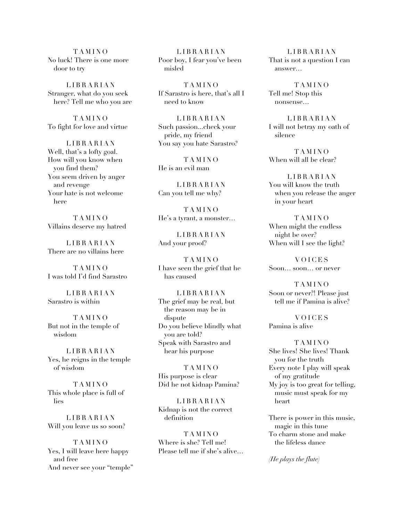TAMINO No luck! There is one more door to try

LIBRARIAN Stranger, what do you seek here? Tell me who you are

TAMINO To fight for love and virtue

LIBRARIAN Well, that's a lofty goal. How will you know when you find them? You seem driven by anger and revenge Your hate is not welcome here

TAMINO Villains deserve my hatred

LIBRARIAN There are no villains here

TAMINO I was told I'd find Sarastro

LIBRARIAN Sarastro is within

TAMINO But not in the temple of wisdom

LIBRARIAN Yes, he reigns in the temple of wisdom

TAMINO This whole place is full of lies

LIBRARIAN Will you leave us so soon?

TAMINO Yes, I will leave here happy and free And never see your "temple"

LIBRARIAN Poor boy, I fear you've been misled

TAMINO If Sarastro is here, that's all I need to know

LIBRARIAN Such passion...check your pride, my friend You say you hate Sarastro?

TAMINO He is an evil man

LIBRARIAN Can you tell me why?

TAMINO He's a tyrant, a monster…

LIBRARIAN And your proof?

TAMINO I have seen the grief that he has caused

LIBRARIAN The grief may be real, but the reason may be in dispute Do you believe blindly what you are told? Speak with Sarastro and hear his purpose

TAMINO His purpose is clear Did he not kidnap Pamina?

LIBRARIAN Kidnap is not the correct definition

TAMINO Where is she? Tell me! Please tell me if she's alive…

LIBRARIAN That is not a question I can answer…

TAMINO Tell me! Stop this nonsense…

LIBRARIAN I will not betray my oath of silence

TAMINO When will all be clear?

LIBRARIAN You will know the truth when you release the anger in your heart

TAMINO When might the endless night be over? When will I see the light?

VOICES Soon… soon… or never

TAMINO Soon or never?! Please just tell me if Pamina is alive?

VOICES Pamina is alive

TAMINO She lives! She lives! Thank you for the truth Every note I play will speak of my gratitude My joy is too great for telling, music must speak for my heart

There is power in this music, magic in this tune To charm stone and make the lifeless dance

*(He plays the flute)*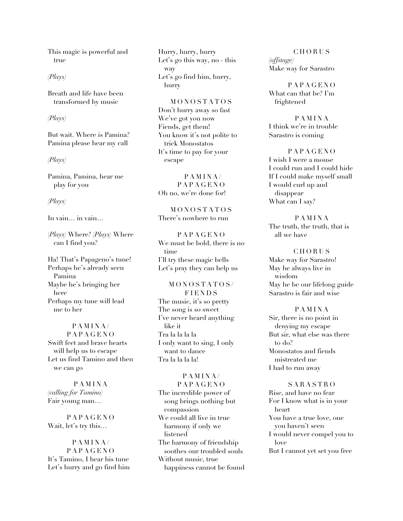This magic is powerful and true

## *(Plays)*

Breath and life have been transformed by music

#### *(Plays)*

But wait. Where is Pamina? Pamina please hear my call

#### *(Plays)*

Pamina, Pamina, hear me play for you

#### *(Plays)*

In vain… in vain…

(*Plays)* Where? *(Plays)* Where can I find you?

Ha! That's Papageno's tune! Perhaps he's already seen Pamina Maybe he's bringing her here Perhaps my tune will lead me to her

PAMINA/ PAPAGENO Swift feet and brave hearts will help us to escape Let us find Tamino and then we can go

PAMINA *(calling for Tamino)* Fair young man…

PAPAGENO Wait, let's try this…

PAMINA/ PAPAGENO It's Tamino, I hear his tune Let's hurry and go find him Hurry, hurry, hurry Let's go this way, no - this way Let's go find him, hurry, hurry

MONOSTATOS Don't hurry away so fast We've got you now Fiends, get them! You know it's not polite to trick Monostatos It's time to pay for your escape

PAMINA/ PAPAGENO Oh no, we're done for!

MONOSTATOS There's nowhere to run

PAPAGENO We must be bold, there is no time I'll try these magic bells Let's pray they can help us

# MONOSTATOS / **FIENDS** The music, it's so pretty

The song is so sweet I've never heard anything like it Tra la la la la I only want to sing, I only want to dance Tra la la la la!

# PAMINA/ PAPAGENO The incredible power of song brings nothing but compassion We could all live in true harmony if only we listened The harmony of friendship soothes our troubled souls Without music, true happiness cannot be found

CHORUS *(offstage)* Make way for Sarastro

PAPAGENO What can that be? I'm frightened

PAMINA I think we're in trouble Sarastro is coming

PAPAGENO I wish I were a mouse I could run and I could hide If I could make myself small I would curl up and disappear What can I say?

PAMINA The truth, the truth, that is all we have

CHORUS

Make way for Sarastro! May he always live in wisdom May he be our lifelong guide Sarastro is fair and wise

#### PAMINA

Sir, there is no point in denying my escape But sir, what else was there to do? Monostatos and fiends mistreated me I had to run away

SARASTRO Rise, and have no fear For I know what is in your heart You have a true love, one you haven't seen I would never compel you to love But I cannot yet set you free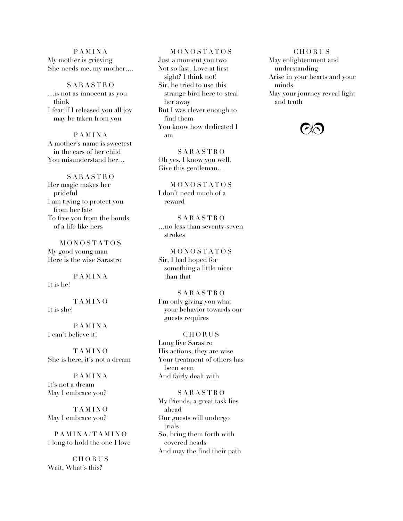## PAMINA My mother is grieving She needs me, my mother….

SARASTRO …is not as innocent as you think I fear if I released you all joy may be taken from you

PAMINA A mother's name is sweetest in the ears of her child You misunderstand her…

SARASTRO Her magic makes her prideful I am trying to protect you from her fate To free you from the bonds of a life like hers

MONOSTATOS My good young man Here is the wise Sarastro

PAMINA It is he!

TAMINO It is she!

PAMINA I can't believe it!

TAMINO She is here, it's not a dream

PAMINA It's not a dream May I embrace you?

TAMINO May I embrace you?

PAMINA/TAMINO I long to hold the one I love

**CHORUS** Wait, What's this?

MONOSTATOS Just a moment you two Not so fast. Love at first sight? I think not! Sir, he tried to use this strange bird here to steal her away But I was clever enough to find them You know how dedicated I am

SARASTRO Oh yes, I know you well. Give this gentleman…

MONOSTATOS I don't need much of a reward

SARASTRO …no less than seventy-seven strokes

MONOSTATOS Sir, I had hoped for something a little nicer than that

SARASTRO I'm only giving you what your behavior towards our guests requires

#### CHORUS

Long live Sarastro His actions, they are wise Your treatment of others has been seen And fairly dealt with

#### SARASTRO

My friends, a great task lies ahead Our guests will undergo trials So, bring them forth with covered heads And may the find their path

CHORUS May enlightenment and understanding Arise in your hearts and your minds May your journey reveal light and truth

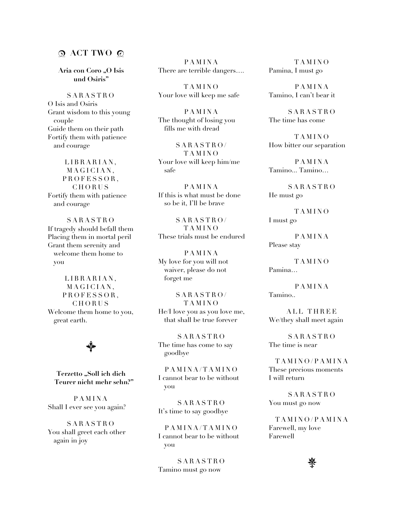# **ACT TWO**

Aria con Coro "O Isis **und Osiris"**

SARASTRO O Isis and Osiris Grant wisdom to this young couple Guide them on their path Fortify them with patience and courage

LIBRARIAN, MAGICIAN, PROFESSOR, CHORUS Fortify them with patience and courage

SARASTRO If tragedy should befall them Placing them in mortal peril Grant them serenity and welcome them home to you

LIBRARIAN, MAGICIAN, PROFESSOR, CHORUS Welcome them home to you, great earth.

 $\bigtriangledown$ 

**Terzetto "Soll ich dich Teurer nicht mehr sehn?"**

PAMINA Shall I ever see you again?

SARASTRO You shall greet each other again in joy

PAMINA There are terrible dangers….

TAMINO Your love will keep me safe

PAMINA The thought of losing you fills me with dread

SARASTRO/ TAMINO Your love will keep him/me safe

PAMINA If this is what must be done so be it, I'll be brave

SARASTRO/ TAMINO These trials must be endured

PAMINA My love for you will not waiver, please do not forget me

SARASTRO/ TAMINO He/I love you as you love me, that shall be true forever

SARASTRO The time has come to say goodbye

PAMINA/TAMINO I cannot bear to be without you

SARASTRO It's time to say goodbye

PAMINA/TAMINO I cannot bear to be without you

SARASTRO Tamino must go now

TAMINO Pamina, I must go

PAMINA Tamino, I can't bear it

SARASTRO The time has come

TAMINO How bitter our separation

PAMINA Tamino... Tamino…

SARASTRO He must go

TAMINO I must go

PAMINA Please stay

TAMINO Pamina…

PAMINA Tamino..

ALL THREE We/they shall meet again

SARASTRO The time is near

TAMINO/PAMINA These precious moments I will return

SARASTRO You must go now

TAMINO/PAMINA Farewell, my love Farewell

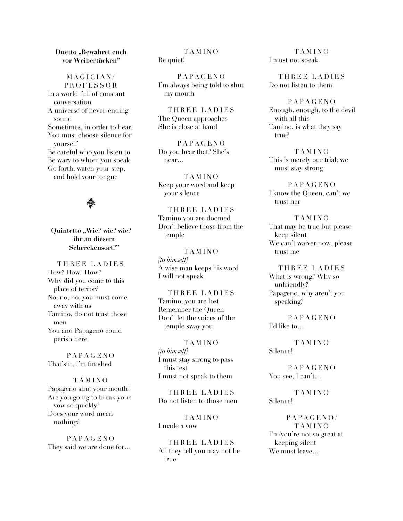#### **Duetto** ..Bewahret euch **vor Weibertücken"**

MAGICIAN/ PROFESSOR In a world full of constant conversation A universe of never-ending sound Sometimes, in order to hear, You must choose silence for yourself Be careful who you listen to Be wary to whom you speak Go forth, watch your step, and hold your tongue

馨

Quintetto "Wie? wie? wie? **ihr an diesem Schreckensort?"**

THREE LADIES How? How? How? Why did you come to this place of terror? No, no, no, you must come away with us Tamino, do not trust those men You and Papageno could perish here

PAPAGENO That's it, I'm finished

TAMINO Papageno shut your mouth! Are you going to break your vow so quickly? Does your word mean nothing?

PAPAGENO They said we are done for…

TAMINO Be quiet!

PAPAGENO I'm always being told to shut my mouth

THREE LADIES The Queen approaches She is close at hand

PAPAGENO Do you hear that? She's near…

TAMINO Keep your word and keep your silence

THREE LADIES Tamino you are doomed Don't believe those from the temple

TAMINO *(to himself)* A wise man keeps his word I will not speak

THREE LADIES Tamino, you are lost Remember the Queen Don't let the voices of the temple sway you

TAMINO *(to himself)* I must stay strong to pass this test I must not speak to them

THREE LADIES Do not listen to those men

TAMINO I made a vow

THREE LADIES All they tell you may not be true

TAMINO I must not speak

THREE LADIES Do not listen to them

PAPAGENO Enough, enough, to the devil with all this Tamino, is what they say true?

TAMINO This is merely our trial; we must stay strong

PAPAGENO I know the Queen, can't we trust her

TAMINO That may be true but please keep silent We can't waiver now, please trust me

THREE LADIES What is wrong? Why so unfriendly? Papageno, why aren't you speaking?

PAPAGENO I'd like to…

TAMINO Silence!

PAPAGENO You see, I can't…

TAMINO Silence!

PAPAGENO/ TAMINO I'm/you're not so great at keeping silent We must leave…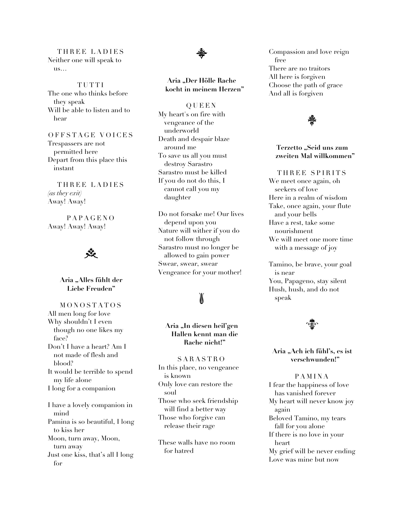THREE LADIES Neither one will speak to us…

TUTTI The one who thinks before they speak Will be able to listen and to hear

OFFSTAGE VOICES Trespassers are not permitted here Depart from this place this instant

THREE LADIES *(as they exit)* Away! Away!

PAPAGENO Away! Away! Away!



## **Aria "Alles fühlt der Liebe Freuden"**

MONOSTATOS All men long for love Why shouldn't I even though no one likes my face? Don't I have a heart? Am I not made of flesh and blood? It would be terrible to spend my life alone I long for a companion I have a lovely companion in mind Pamina is so beautiful, I long to kiss her Moon, turn away, Moon,

turn away Just one kiss, that's all I long for



# **Aria "Der Hölle Rache kocht in meinem Herzen"**

QUEEN My heart's on fire with vengeance of the underworld Death and despair blaze around me To save us all you must destroy Sarastro Sarastro must be killed If you do not do this, I cannot call you my daughter

Do not forsake me! Our lives depend upon you Nature will wither if you do not follow through Sarastro must no longer be allowed to gain power Swear, swear, swear Vengeance for your mother!

# b

# **Aria "In diesen heil'gen Hallen kennt man die Rache nicht!"**

SARASTRO In this place, no vengeance is known Only love can restore the soul Those who seek friendship will find a better way Those who forgive can release their rage

These walls have no room for hatred

Compassion and love reign free There are no traitors All here is forgiven Choose the path of grace And all is forgiven

# 馨

#### **Terzetto "Seid uns zum zweiten Mal willkommen"**

THREE SPIRITS We meet once again, oh

seekers of love Here in a realm of wisdom Take, once again, your flute and your bells Have a rest, take some nourishment We will meet one more time with a message of joy

Tamino, be brave, your goal is near You, Papageno, stay silent Hush, hush, and do not speak



#### **Aria "Ach ich fühl's, es ist verschwunden!"**

PAMINA I fear the happiness of love has vanished forever My heart will never know joy again Beloved Tamino, my tears fall for you alone If there is no love in your heart My grief will be never ending Love was mine but now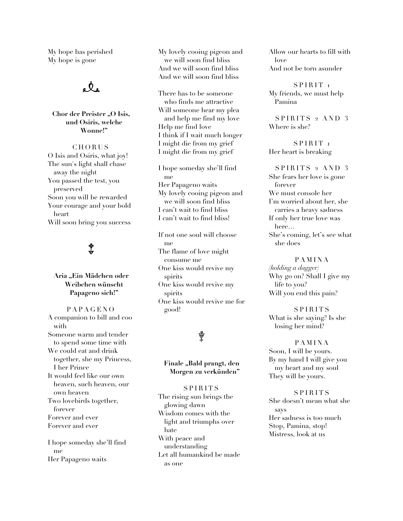My hope has perished My hope is gone



**Chor der Preister** "O Isis, **und Osiris, welche Wonne!"**

**CHORUS** O Isis and Osiris, what joy! The sun's light shall chase away the night You passed the test, you preserved Soon you will be rewarded Your courage and your bold heart Will soon bring you success

# 普

**Aria "Ein Mädchen oder Weibchen wünscht Papageno sich!"**

PAPAGENO A companion to bill and coo with Someone warm and tender to spend some time with We could eat and drink together, she my Princess, I her Prince It would feel like our own heaven, such heaven, our own heaven Two lovebirds together, forever Forever and ever Forever and ever I hope someday she'll find

me Her Papageno waits My lovely cooing pigeon and we will soon find bliss And we will soon find bliss And we will soon find bliss

There has to be someone who finds me attractive Will someone hear my plea and help me find my love Help me find love I think if I wait much longer I might die from my grief I might die from my grief

I hope someday she'll find me Her Papageno waits My lovely cooing pigeon and we will soon find bliss I can't wait to find bliss I can't wait to find bliss!

If not one soul will choose me The flame of love might consume me One kiss would revive my spirits One kiss would revive my spirits One kiss would revive me for good!

# ¥

## **Finale "Bald prangt, den Morgen zu verkünden"**

SPIRITS The rising sun brings the glowing dawn Wisdom comes with the light and triumphs over hate With peace and understanding Let all humankind be made as one

Allow our hearts to fill with love And not be torn asunder

SPIRIT<sub>I</sub> My friends, we must help Pamina

 $SPIRITS$  2 AND 3 Where is she?

SPIRIT<sub>I</sub> Her heart is breaking

SPIRITS 2 AND 3 She fears her love is gone forever We must console her I'm worried about her, she carries a heavy sadness If only her true love was here… She's coming, let's see what she does

PAMINA

*(holding a dagger)* Why go on? Shall I give my life to you? Will you end this pain?

SPIRITS What is she saying? Is she losing her mind?

PAMINA Soon, I will be yours. By my hand I will give you my heart and my soul They will be yours.

SPIRITS She doesn't mean what she says Her sadness is too much Stop, Pamina, stop! Mistress, look at us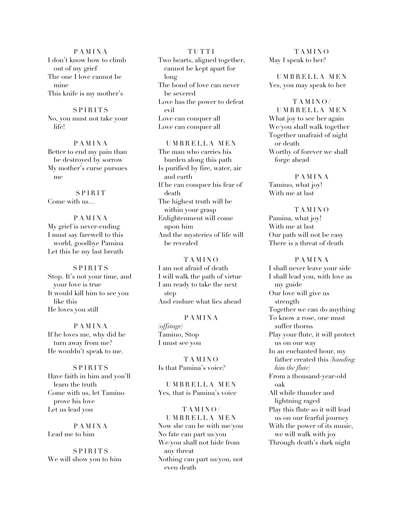PAMINA I don't know how to climb out of my grief The one I love cannot be mine This knife is my mother's

SPIRITS No, you must not take your life!

PAMINA Better to end my pain than be destroyed by sorrow My mother's curse pursues me

SPIRIT Come with us…

PAMINA My grief is never-ending I must say farewell to this world, goodbye Pamina Let this be my last breath

SPIRITS Stop. It's not your time, and your love is true It would kill him to see you like this He loves you still

PAMINA If he loves me, why did he turn away from me? He wouldn't speak to me.

SPIRITS Have faith in him and you'll learn the truth Come with us, let Tamino prove his love Let us lead you

PAMINA Lead me to him

SPIRITS We will show you to him

TUTTI Two hearts, aligned together, cannot be kept apart for long The bond of love can never be severed Love has the power to defeat evil Love can conquer all Love can conquer all

UMBRELLA MEN The man who carries his burden along this path Is purified by fire, water, air and earth If he can conquer his fear of death The highest truth will be within your grasp Enlightenment will come upon him And the mysteries of life will be revealed

**TAMINO** I am not afraid of death I will walk the path of virtue I am ready to take the next step And endure what lies ahead

# PAMINA

*(offstage)* Tamino, Stop I must see you

TAMINO Is that Pamina's voice?

UMBRELLA MEN Yes, that is Pamina's voice

TAMINO/ UMBRELLA MEN Now she can be with me/you No fate can part us/you We/you shall not hide from any threat Nothing can part us/you, not even death

TAMINO May I speak to her?

UMBRELLA MEN Yes, you may speak to her

TAMINO/ UMBRELLA MEN What joy to see her again We/you shall walk together Together unafraid of night or death Worthy of forever we shall forge ahead

PAMINA Tamino, what joy! With me at last

TAMINO Pamina, what joy! With me at last Our path will not be easy There is a threat of death

PAMINA I shall never leave your side I shall lead you, with love as my guide Our love will give us strength Together we can do anything To know a rose, one must suffer thorns Play your flute, it will protect us on our way In an enchanted hour, my father created this *(handing him the flute)* From a thousand-year-old oak All while thunder and lightning raged Play this flute so it will lead us on our fearful journey With the power of its music, we will walk with joy Through death's dark night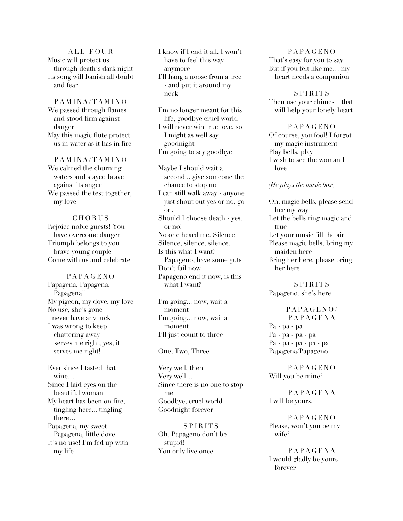ALL FOUR Music will protect us through death's dark night Its song will banish all doubt and fear

PAMINA/TAMINO We passed through flames and stood firm against danger May this magic flute protect us in water as it has in fire

PAMINA/TAMINO We calmed the churning waters and stayed brave against its anger We passed the test together, my love

# CHORUS Rejoice noble guests! You have overcome danger Triumph belongs to you brave young couple Come with us and celebrate

PAPAGENO Papagena, Papagena, Papagena!! My pigeon, my dove, my love No use, she's gone I never have any luck I was wrong to keep chattering away It serves me right, yes, it serves me right!

Ever since I tasted that wine… Since I laid eyes on the beautiful woman My heart has been on fire, tingling here... tingling there… Papagena, my sweet - Papagena, little dove It's no use! I'm fed up with my life

I know if I end it all, I won't have to feel this way anymore I'll hang a noose from a tree

- and put it around my neck

I'm no longer meant for this life, goodbye cruel world I will never win true love, so I might as well say goodnight I'm going to say goodbye

Maybe I should wait a second... give someone the chance to stop me I can still walk away - anyone just shout out yes or no, go on, Should I choose death - yes, or no? No one heard me. Silence Silence, silence, silence. Is this what I want? Papageno, have some guts Don't fail now Papageno end it now, is this what I want?

I'm going... now, wait a moment I'm going... now, wait a moment I'll just count to three

#### One, Two, Three

Very well, then Very well… Since there is no one to stop me Goodbye, cruel world Goodnight forever

SPIRITS Oh, Papageno don't be stupid! You only live once

PAPAGENO That's easy for you to say But if you felt like me… my heart needs a companion

SPIRITS Then use your chimes – that will help your lonely heart

PAPAGENO Of course, you fool! I forgot my magic instrument Play bells, play I wish to see the woman I love

## *(He plays the music box)*

Oh, magic bells, please send her my way Let the bells ring magic and true Let your music fill the air Please magic bells, bring my maiden here Bring her here, please bring her here

SPIRITS Papageno, she's here

PAPAGENO/ PAPAGENA Pa - pa - pa Pa - pa - pa - pa Pa - pa - pa - pa - pa Papagena/Papageno

PAPAGENO Will you be mine?

PAPAGENA I will be yours.

PAPAGENO Please, won't you be my wife?

PAPAGENA I would gladly be yours forever